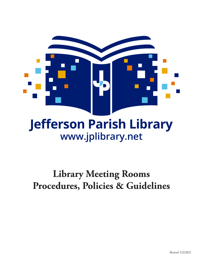

# **Jefferson Parish Library www.jplibrary.net**

# **Library Meeting Rooms Procedures, Policies & Guidelines**

*Revised 1/2/2022*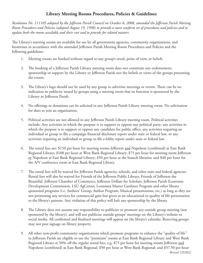## **Library Meeting Rooms Procedures, Policies & Guidelines**

*Resolution No. 111105 adopted by the Jefferson Parish Council on October 8, 2008, amended the Jefferson Parish Meeting Room Procedures and Policies (adopted August 19, 1998) to provide a more uniform set of procedures and policies and to update both the rooms available and their cost and to provide for related matters.*

The Library's meeting rooms are available for use by all government agencies, community organizations, and businesses in accordance with the amended Jefferson Parish Meeting Room Procedures and Policies and the following guidelines:

- 1. Meeting rooms are booked without regard to any group's creed, point of view, or beliefs.
- 2. The booking of a Jefferson Parish Library meeting room does not constitute any endorsement, sponsorship or support by the Library or Jefferson Parish nor the beliefs or views of the groups presenting the events.
- 3. The Library's logo should not be used by any group to advertise meetings or events. There can be no indication in publicity issued by groups using a meeting room that its function is sponsored by the Library or Jefferson Parish.
- 4. No offerings or donations can be solicited in any Jefferson Parish Library meeting room. No solicitation for dues to join an organization.
- 5. Political activities are not allowed in any Jefferson Parish Library meeting room. Political activities include: Any activities in which the purpose is to support or oppose any political party; any activities in which the purpose is to support or oppose any candidate for public office; any activities requiring an individual or group to file a campaign financial disclosure report under state or federal law; or any activities requiring an individual or group to file a lobby report under state or federal law.
- 6. The rental fees are: \$150 per hour for meeting rooms Jefferson and Napoleon (combined) at East Bank Regional Library; \$100 per hour at West Bank Regional Library; \$75 per hour for meeting room Jefferson or Napoleon at East Bank Regional Library; \$50 per hour at the branch libraries; and \$40 per hour for the A/V conference room at East Bank Regional Library.
- 7. The rental fees will be waived for Jefferson Parish agencies, schools, and other state and federal agencies. Rental fees will also be waived for Friends of the Jefferson Public Library, Friends of Jefferson the Beautiful, Jefferson Chamber of Commerce, Jefferson Dollars for Scholars, Jefferson Parish Economic Development Commission, LSU AgCenter, Louisiana Master Gardener Program and other library sponsored programs (i.e. Authors' Group, Author Program, Musical presentations, etc.) as long as they are not promoting any services for commercial gain but given as an educational or quality of life presentation to the library's patrons. Any violation of this policy will halt any sponsorship by the library.
- 8. The Library does not assume any responsibility to publicize or promote any outside group meeting (not sponsored by the library), and will not publicize outside groups' meetings on the Library's website or social media. All confirmed and finalized meetings will appear on the library's calendar. Reserving groups may not post signage on library property.
- 9. All other non-profit community organizations which promote programs to enhance the "quality of life" in Jefferson Parish are eligible to use the "premium" rooms at East Bank Regional Library and West Bank Regional Library at 50% off the regular rental fees, e.g. \$75 per hour for meeting rooms Jefferson and Napoleon (combined) at East Bank Regional; \$50 per hour at West Bank Regional; and \$37.50 per hour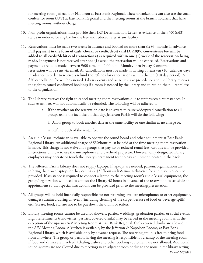for meeting room Jefferson or Napoleon at East Bank Regional. These organizations can also use the small conference room (A/V) at East Bank Regional and the meeting rooms at the branch libraries, that have meeting rooms, without charge.

- 10. Non-profit organizations must provide their IRS Determination Letter, as evidence of their  $501(c)(3)$ status in order to be eligible for the free and reduced rates at any facility.
- 11. Reservations must be made two weeks in advance and booked no more than six (6) months in advance. **Full payment in the form of cash, check, or credit/debit card (A 2.09% convenience fee will be added to all credit/debit card transactions.) is required within one (1) week of the reservation being made.** If payment is not received after one (1) week, the reservation will be cancelled. Reservations and payments are to be made between 9:00 a.m. and 4:00 p.m., Monday thru Friday. Confirmation of reservation will be sent via email. All cancellations must be made in writing at least ten (10) calendar days in advance in order to receive a refund (no refunds for cancellations within the ten (10) day period). A \$20 cancellation fee will be assessed. Library events and activities take precedence and the library reserves the right to cancel confirmed bookings if a room is needed by the library and to refund the full rental fee to the organization.
- 12. The Library reserves the right to cancel meeting room reservations due to unforeseen circumstances. In such event, fees will not automatically be refunded. The following will be adhered to:
	- a. If the weather on the reservation date is so severe to cause widespread cancellation to all groups using the facilities on that day, Jefferson Parish will do the following:
		- i. Allow group to book another date at the same facility or one similar at no charge or,
		- ii. Refund 80% of the rental fee.
- 13. An audio/visual technician is available to operate the sound board and other equipment at East Bank Regional Library. An additional charge of \$50/hour must be paid at the time meeting room reservation is made. This charge is not waived for groups that pay no or reduced rental fees. Groups will be provided instructions on how to use the microphones and overhead projector. However, only designated library employees may operate or touch the library's permanent technology equipment located in the back.
- 14. The Jefferson Parish Library does not supply laptops. If laptops are needed, patrons/organizations are to bring their own laptops or they can pay a \$50/hour audio/visual technician fee and resources can be provided. If assistance is required to connect a laptop to the meeting room's audio/visual equipment, the group/organization will need to contact the Library 48 hours in advance of the reservation to schedule an appointment so that special instructions can be provided prior to the meeting/presentation.
- 15. All groups will be held financially responsible for not returning lavaliere microphones or other equipment, damages sustained during an event (including cleaning of the carpet because of food or beverage spills), etc. Grease, food, etc. are not to be put down the drains or toilets.
- 16. Library meeting rooms cannot be used for showers, parties, weddings, graduation parties, or social events. Light refreshments (sandwiches, pastries, covered drinks) may be served in the meeting rooms with the exception of the upstairs A/V Meeting Room at East Bank Regional. Only covered drinks are allowed in the A/V Meeting Room. A kitchen is available, by the Jefferson & Napoleon Rooms, at East Bank Regional Library, which is available only by advance request. The reserving group is free to bring food from anywhere. The group or person having the meeting is responsible for cleanup of the meeting room if food and drinks are involved. Chafing dishes and other cooking equipment are not allowed. Additional sound systems are not allowed due to meetings in an adjacent room or due to the noise in the library setting.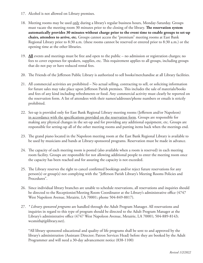- 17. Alcohol is not allowed on Library premises.
- 18. Meeting rooms may be used only during a library's regular business hours, Monday-Saturday. Groups must vacate the meeting room 30 minutes prior to the closing of the library. **The reservation system automatically provides 30 minutes without charge prior to the event time to enable groups to set-up chairs, attendees to arrive, etc.** Groups cannot access the "premium" meeting rooms at East Bank Regional Library prior to 8:30 a.m. (these rooms cannot be reserved or entered prior to 8:30 a.m.) or the opening time at the other libraries.
- 19. **All** events and meetings must be free and open to the public no admission or registration charges; no fees to cover expenses for speakers, supplies, etc. This requirement applies to all groups, including groups that do not pay or have reduced rental fees.
- 20. The Friends of the Jefferson Public Library is authorized to sell books/merchandise at all Library facilities.
- 21. All commercial activities are prohibited No actual selling, contracting to sell, or soliciting information for future sales may take place upon Jefferson Parish premises. This includes the sale of materials/books and fees of any kind including refreshments or food. Any commercial activity must clearly be reported on the reservation form. A list of attendees with their names/addresses/phone numbers or emails is strictly prohibited.
- 22. Set-up is provided only for East Bank Regional Library meeting rooms (Jefferson and/or Napoleon) in accordance with the specifications provided on the reservation form. Groups are responsible for making any physical changes in the set-up and for providing any additional equipment, etc. Groups are responsible for setting-up all of the other meeting rooms and putting items back when the meetings end.
- 23. The grand piano located in the Napoleon meeting room at the East Bank Regional Library is available to be used by musicians and bands at Library-sponsored programs. Reservation must be made in advance.
- 24. The capacity of each meeting room is posted (also available when a room is reserved) in each meeting room facility. Groups are responsible for not allowing additional people to enter the meeting room once the capacity has been reached and for assuring the capacity is not exceeded.
- 25. The Library reserves the right to cancel confirmed bookings and/or reject future reservations for any person(s) or group(s) not complying with the "Jefferson Parish Library's Meeting Rooms Policies and Procedures".
- 26. Since individual library branches are unable to schedule reservations, all reservations and inquiries should be directed to the Receptionist/Meeting Room Coordinator at the Library's administrative office (4747 West Napoleon Avenue, Metairie, LA 70001; phone 504-849-8817).
- 27. *\* Library sponsored programs* are handled through the Adult Program Manager. All reservations and inquiries in regard to this type of program should be directed to the Adult Program Manager at the Library's administrative office (4747 West Napoleon Avenue, Metairie, LA 70001; 504-889-8143; wcsmith@jplibrary.net).

\*All library sponsored educational and quality of life programs shall be sent to and approved by the library's administration (Assistant Director; Patron Services Head) before they are booked by the Adult Programmer and will need a 30-day advancement notice (838-1100)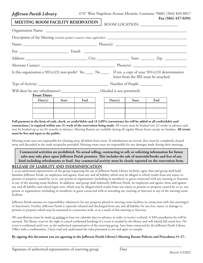#### *Jefferson Parish Library*

| 4747 West Napoleon Avenue Metairie, Louisiana 70001 (504) 849-8817 |  |
|--------------------------------------------------------------------|--|
|--------------------------------------------------------------------|--|

| . ש |                                          |       |     |                                                                                                                |       |                                       | Fax (504) 457-0391 |
|-----|------------------------------------------|-------|-----|----------------------------------------------------------------------------------------------------------------|-------|---------------------------------------|--------------------|
|     | <b>MEETING ROOM FACILITY RESERVATION</b> |       |     | ROOM LOCATION: __________________                                                                              |       |                                       |                    |
|     |                                          |       |     |                                                                                                                |       |                                       |                    |
|     |                                          |       |     |                                                                                                                |       |                                       |                    |
|     |                                          |       |     |                                                                                                                |       |                                       |                    |
|     |                                          |       |     |                                                                                                                |       |                                       |                    |
|     |                                          |       |     |                                                                                                                |       |                                       |                    |
|     |                                          |       |     |                                                                                                                |       |                                       |                    |
|     |                                          |       |     | Is this organization a 501(c)(3) non-profit? Yes _____ No _____ If yes, a copy of your 501(c)(3) determination |       | letter from the IRS must be attached. |                    |
|     |                                          |       |     |                                                                                                                |       |                                       |                    |
|     |                                          |       |     |                                                                                                                |       |                                       |                    |
|     | <b>Event Dates</b>                       |       |     |                                                                                                                |       |                                       |                    |
|     | Date(s)                                  | Start | End | Date(s)                                                                                                        | Start | End                                   |                    |
|     |                                          |       |     |                                                                                                                |       |                                       |                    |

**Full payment in the form of cash, check, or credit/debit card (A 2.09% convenience fee will be added to all credit/debit card transactions.) is required within one (1) week of the reservation being made.** All events must be booked two (2) weeks in advance and may be booked up to six (6) months in advance. Meeting Rooms are available during all regular library hours except on Sundays. **All events must be free and open to the public.**

Meeting room users are responsible for cleaning away all debris from event. If refreshments are served, they must be completely cleared away and discarded in the trash receptacles provided. Meeting room users are responsible for any damages made during their meetings.

**Commercial activities are prohibited. No actual selling, contracting to sell, or soliciting information for future sales may take place upon Jefferson Parish premises. This includes the sale of materials/books and fees of any kind including refreshments or food. Any commercial activity must be clearly reported on the reservation form.**

### **RELEASE OF LIABILITY AND INDEMNIFICATION**

I, as an authorized representative of the group requesting the use of Jefferson Parish Library facilities, agree that said group shall hold harmless Jefferson Parish, its employees and agents, from any and all liability which may be alleged or which results from any injury to persons or property caused by, or to, any person or organization (including its members) or guest connected with any meeting or function at any of the meeting room facilities. In addition, said group shall indemnify Jefferson Parish, its employees and agents, from and against any and all liability and related legal costs, which may be alleged which results from any injury to persons or property caused by, or to, any person or organization (including its members) or guest connected with or attending any meeting or function at any of the meeting room facilities.

Jefferson Parish assumes no responsibility whatsoever for any property placed in meeting room facilities in connection with this meeting(s) or function(s). Further, Jefferson Parish is expressly released and discharged from any and all liability for any loss, injury or damage to persons or property which may be sustained in connection with, or as a result of this meeting or function.

All cancellations must be made in writing at least ten calendar days in advance in order to receive a refund. A \$20 cancellation fee will be assessed. The library reserves the right to cancel confirmed bookings if a room is needed by the library and will refund full rental fees. No event is confirmed until you, as the authorized representative of the reserving group, have been contacted by the Jefferson Parish Library Office with a confirmation. I have read and understand the rules presented to me and agree to comply.

**By signing this document you are agreeing to the Jefferson Parish Library's Meeting Rooms Policies and Procedures #1-27.**